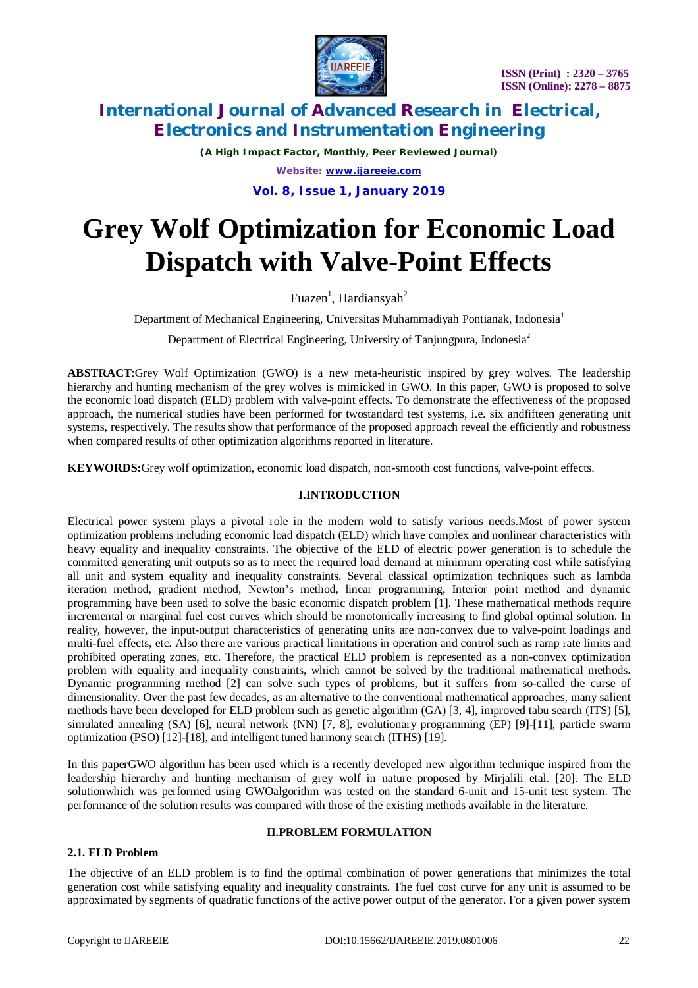

*(A High Impact Factor, Monthly, Peer Reviewed Journal) Website: [www.ijareeie.com](http://www.ijareeie.com)*

**Vol. 8, Issue 1, January 2019**

# **Grey Wolf Optimization for Economic Load Dispatch with Valve-Point Effects**

Fuazen<sup>1</sup>, Hardiansyah<sup>2</sup>

Department of Mechanical Engineering, Universitas Muhammadiyah Pontianak, Indonesia<sup>1</sup>

Department of Electrical Engineering, University of Tanjungpura, Indonesia<sup>2</sup>

**ABSTRACT**:Grey Wolf Optimization (GWO) is a new meta-heuristic inspired by grey wolves. The leadership hierarchy and hunting mechanism of the grey wolves is mimicked in GWO. In this paper, GWO is proposed to solve the economic load dispatch (ELD) problem with valve-point effects. To demonstrate the effectiveness of the proposed approach, the numerical studies have been performed for twostandard test systems, i.e. six andfifteen generating unit systems, respectively. The results show that performance of the proposed approach reveal the efficiently and robustness when compared results of other optimization algorithms reported in literature.

**KEYWORDS:**Grey wolf optimization, economic load dispatch, non-smooth cost functions, valve-point effects.

# **I.INTRODUCTION**

Electrical power system plays a pivotal role in the modern wold to satisfy various needs.Most of power system optimization problems including economic load dispatch (ELD) which have complex and nonlinear characteristics with heavy equality and inequality constraints. The objective of the ELD of electric power generation is to schedule the committed generating unit outputs so as to meet the required load demand at minimum operating cost while satisfying all unit and system equality and inequality constraints. Several classical optimization techniques such as lambda iteration method, gradient method, Newton's method, linear programming, Interior point method and dynamic programming have been used to solve the basic economic dispatch problem [1]. These mathematical methods require incremental or marginal fuel cost curves which should be monotonically increasing to find global optimal solution. In reality, however, the input-output characteristics of generating units are non-convex due to valve-point loadings and multi-fuel effects, etc. Also there are various practical limitations in operation and control such as ramp rate limits and prohibited operating zones, etc. Therefore, the practical ELD problem is represented as a non-convex optimization problem with equality and inequality constraints, which cannot be solved by the traditional mathematical methods. Dynamic programming method [2] can solve such types of problems, but it suffers from so-called the curse of dimensionality. Over the past few decades, as an alternative to the conventional mathematical approaches, many salient methods have been developed for ELD problem such as genetic algorithm (GA) [3, 4], improved tabu search (ITS) [5], simulated annealing (SA) [6], neural network (NN) [7, 8], evolutionary programming (EP) [9]-[11], particle swarm optimization (PSO) [12]-[18], and intelligent tuned harmony search (ITHS) [19].

In this paperGWO algorithm has been used which is a recently developed new algorithm technique inspired from the leadership hierarchy and hunting mechanism of grey wolf in nature proposed by Mirjalili etal. [20]. The ELD solutionwhich was performed using GWOalgorithm was tested on the standard 6-unit and 15-unit test system. The performance of the solution results was compared with those of the existing methods available in the literature.

### **2.1. ELD Problem**

### **II.PROBLEM FORMULATION**

The objective of an ELD problem is to find the optimal combination of power generations that minimizes the total generation cost while satisfying equality and inequality constraints. The fuel cost curve for any unit is assumed to be approximated by segments of quadratic functions of the active power output of the generator. For a given power system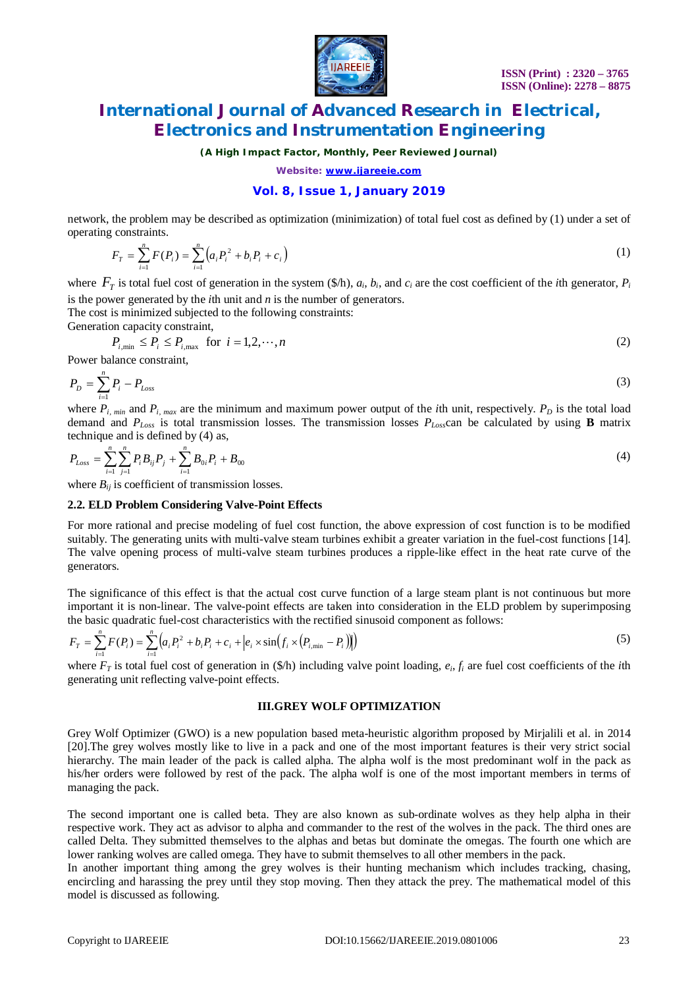

*(A High Impact Factor, Monthly, Peer Reviewed Journal)*

*Website: [www.ijareeie.com](http://www.ijareeie.com)*

### **Vol. 8, Issue 1, January 2019**

network, the problem may be described as optimization (minimization) of total fuel cost as defined by (1) under a set of operating constraints.

$$
F_T = \sum_{i=1}^n F(P_i) = \sum_{i=1}^n \left( a_i P_i^2 + b_i P_i + c_i \right) \tag{1}
$$

where  $F_T$  is total fuel cost of generation in the system (\$/h),  $a_i$ ,  $b_i$ , and  $c_i$  are the cost coefficient of the *i*th generator,  $P_i$ is the power generated by the *i*th unit and *n* is the number of generators.

The cost is minimized subjected to the following constraints: Generation capacity constraint,

$$
P_{i,\min} \le P_i \le P_{i,\max} \quad \text{for} \quad i = 1, 2, \cdots, n \tag{2}
$$

Power balance constraint,

$$
P_D = \sum_{i=1}^{n} P_i - P_{Loss} \tag{3}
$$

where  $P_{i, min}$  and  $P_{i, max}$  are the minimum and maximum power output of the *i*th unit, respectively.  $P_D$  is the total load demand and *PLoss* is total transmission losses. The transmission losses *PLoss*can be calculated by using **B** matrix technique and is defined by (4) as,

$$
P_{Loss} = \sum_{i=1}^{n} \sum_{j=1}^{n} P_i B_{ij} P_j + \sum_{i=1}^{n} B_{0i} P_i + B_{00}
$$
\n<sup>(4)</sup>

where  $B_{ij}$  is coefficient of transmission losses.

#### **2.2. ELD Problem Considering Valve-Point Effects**

For more rational and precise modeling of fuel cost function, the above expression of cost function is to be modified suitably. The generating units with multi-valve steam turbines exhibit a greater variation in the fuel-cost functions [14]. The valve opening process of multi-valve steam turbines produces a ripple-like effect in the heat rate curve of the generators*.*

The significance of this effect is that the actual cost curve function of a large steam plant is not continuous but more important it is non-linear. The valve-point effects are taken into consideration in the ELD problem by superimposing the basic quadratic fuel-cost characteristics with the rectified sinusoid component as follows:

$$
F_{T} = \sum_{i=1}^{n} F(P_{i}) = \sum_{i=1}^{n} \left( a_{i} P_{i}^{2} + b_{i} P_{i} + c_{i} + \left| e_{i} \times \sin\left(f_{i} \times \left(P_{i, \min} - P_{i}\right)\right)\right) \right) \tag{5}
$$

where  $F_T$  is total fuel cost of generation in  $(\frac{f}{h})$  including valve point loading,  $e_i, f_i$  are fuel cost coefficients of the *i*th generating unit reflecting valve-point effects.

#### **III.GREY WOLF OPTIMIZATION**

Grey Wolf Optimizer (GWO) is a new population based meta-heuristic algorithm proposed by Mirjalili et al. in 2014 [20].The grey wolves mostly like to live in a pack and one of the most important features is their very strict social hierarchy. The main leader of the pack is called alpha. The alpha wolf is the most predominant wolf in the pack as his/her orders were followed by rest of the pack. The alpha wolf is one of the most important members in terms of managing the pack.

The second important one is called beta. They are also known as sub-ordinate wolves as they help alpha in their respective work. They act as advisor to alpha and commander to the rest of the wolves in the pack. The third ones are called Delta. They submitted themselves to the alphas and betas but dominate the omegas. The fourth one which are lower ranking wolves are called omega. They have to submit themselves to all other members in the pack.

In another important thing among the grey wolves is their hunting mechanism which includes tracking, chasing, encircling and harassing the prey until they stop moving. Then they attack the prey. The mathematical model of this model is discussed as following.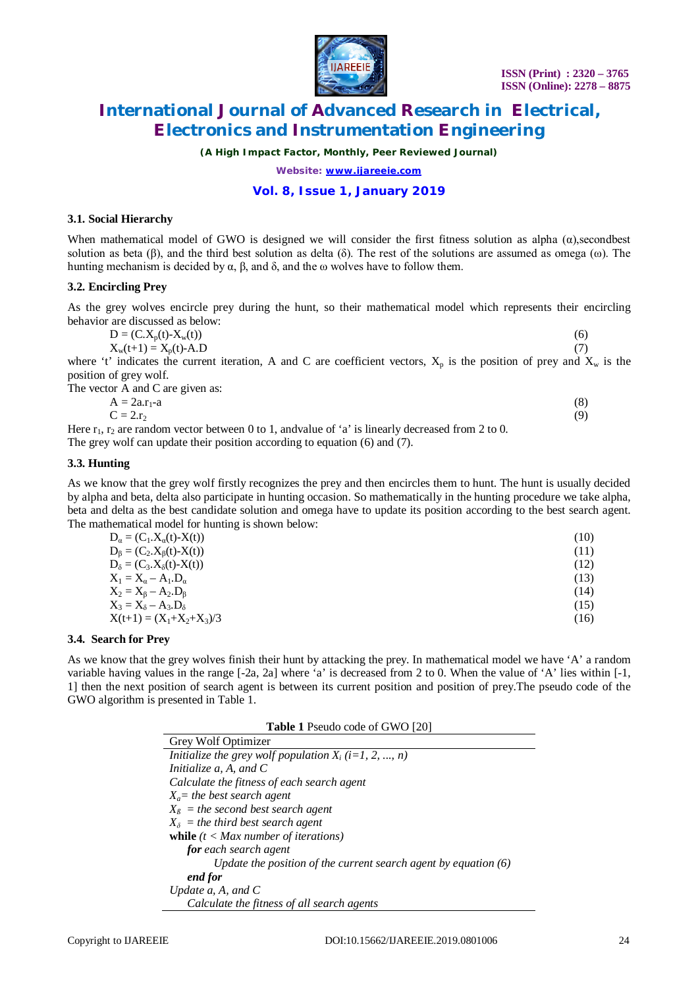

*(A High Impact Factor, Monthly, Peer Reviewed Journal)*

*Website: [www.ijareeie.com](http://www.ijareeie.com)*

### **Vol. 8, Issue 1, January 2019**

#### **3.1. Social Hierarchy**

When mathematical model of GWO is designed we will consider the first fitness solution as alpha  $(\alpha)$ , secondbest solution as beta (β), and the third best solution as delta (δ). The rest of the solutions are assumed as omega (ω). The hunting mechanism is decided by  $\alpha$ ,  $\beta$ , and  $\delta$ , and the ω wolves have to follow them.

#### **3.2. Encircling Prey**

As the grey wolves encircle prey during the hunt, so their mathematical model which represents their encircling behavior are discussed as below:

| $D = (C.X_p(t) - X_w(t))$ |  |
|---------------------------|--|
| $X_w(t+1) = X_p(t) - A.D$ |  |

where 't' indicates the current iteration, A and C are coefficient vectors,  $X_p$  is the position of prey and  $X_w$  is the position of grey wolf.

The vector A and C are given as:  $A = 2a \cdot r_1 - a$  (8)  $C = 2r_2$  (9) Here  $r_1$ ,  $r_2$  are random vector between 0 to 1, andvalue of 'a' is linearly decreased from 2 to 0. The grey wolf can update their position according to equation (6) and (7).

#### **3.3. Hunting**

As we know that the grey wolf firstly recognizes the prey and then encircles them to hunt. The hunt is usually decided by alpha and beta, delta also participate in hunting occasion. So mathematically in the hunting procedure we take alpha, beta and delta as the best candidate solution and omega have to update its position according to the best search agent. The mathematical model for hunting is shown below:

| $D_{\alpha} = (C_1.X_{\alpha}(t) - X(t))$ | (10) |
|-------------------------------------------|------|
| $D_{\beta} = (C_2.X_{\beta}(t) - X(t))$   | (11) |
| $D_{\delta} = (C_3.X_{\delta}(t) - X(t))$ | (12) |
| $X_1 = X_\alpha - A_1.D_\alpha$           | (13) |
| $X_2 = X_8 - A_2.D_8$                     | (14) |
| $X_3 = X_\delta - A_3.D_\delta$           | (15) |
| $X(t+1) = (X_1+X_2+X_3)/3$                | (16) |

#### **3.4. Search for Prey**

As we know that the grey wolves finish their hunt by attacking the prey. In mathematical model we have 'A' a random variable having values in the range [-2a, 2a] where 'a' is decreased from 2 to 0. When the value of 'A' lies within [-1, 1] then the next position of search agent is between its current position and position of prey.The pseudo code of the GWO algorithm is presented in Table 1.

| <b>Table 1</b> Pseudo code of GWO [20]                            |
|-------------------------------------------------------------------|
| Grey Wolf Optimizer                                               |
| Initialize the grey wolf population $X_i$ (i=1, 2, , n)           |
| Initialize a, A, and C                                            |
| Calculate the fitness of each search agent                        |
| $X_a$ = the best search agent                                     |
| $X_{\beta}$ = the second best search agent                        |
| $X_{\delta}$ = the third best search agent                        |
| <b>while</b> $(t < Max number of iterations)$                     |
| <b>for</b> each search agent                                      |
| Update the position of the current search agent by equation $(6)$ |
| end for                                                           |
| Update $a$ , $A$ , and $C$                                        |
| Calculate the fitness of all search agents                        |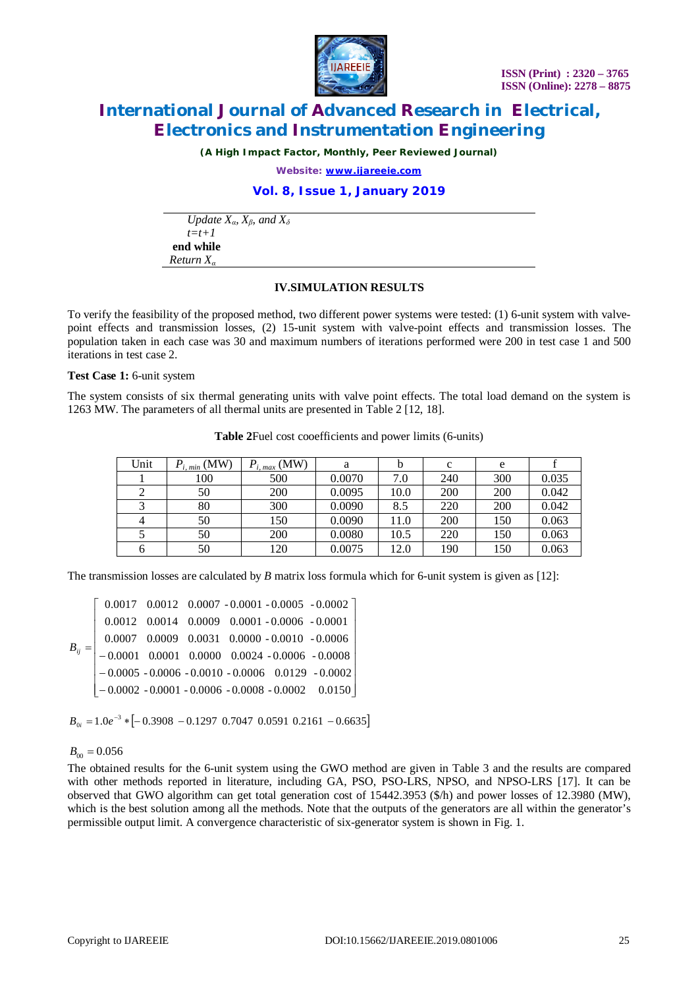

*(A High Impact Factor, Monthly, Peer Reviewed Journal)*

*Website: [www.ijareeie.com](http://www.ijareeie.com)*

### **Vol. 8, Issue 1, January 2019**

*Update*  $X_a$ *,*  $X_b$  *and*  $X_d$  *t=t+1* **end while** *Return X<sup>α</sup>*

### **IV.SIMULATION RESULTS**

To verify the feasibility of the proposed method, two different power systems were tested: (1) 6-unit system with valvepoint effects and transmission losses, (2) 15-unit system with valve-point effects and transmission losses. The population taken in each case was 30 and maximum numbers of iterations performed were 200 in test case 1 and 500 iterations in test case 2.

**Test Case 1:** 6-unit system

The system consists of six thermal generating units with valve point effects. The total load demand on the system is 1263 MW. The parameters of all thermal units are presented in Table 2 [12, 18].

| Unit | $P_{i, min}$ (MW) | $P_{i, max}$ (MW) | a      |      | c   | e   |       |
|------|-------------------|-------------------|--------|------|-----|-----|-------|
|      | 100               | 500               | 0.0070 | 7.0  | 240 | 300 | 0.035 |
|      | 50                | 200               | 0.0095 | 10.0 | 200 | 200 | 0.042 |
|      | 80                | 300               | 0.0090 | 8.5  | 220 | 200 | 0.042 |
|      | 50                | 150               | 0.0090 | 11.0 | 200 | 150 | 0.063 |
|      | 50                | 200               | 0.0080 | 10.5 | 220 | 150 | 0.063 |
|      | 50                | 120               | 0.0075 | 12.0 | 190 | 150 | 0.063 |

**Table 2**Fuel cost cooefficients and power limits (6-units)

The transmission losses are calculated by *B* matrix loss formula which for 6-unit system is given as [12]:

|          |  |  | $\begin{bmatrix} 0.0017 & 0.0012 & 0.0007 & -0.0001 & -0.0005 & -0.0002 \\ 0.0012 & 0.0014 & 0.0009 & 0.0001 & -0.0006 & -0.0001 \end{bmatrix}$                                                                                                                        |
|----------|--|--|------------------------------------------------------------------------------------------------------------------------------------------------------------------------------------------------------------------------------------------------------------------------|
|          |  |  |                                                                                                                                                                                                                                                                        |
|          |  |  |                                                                                                                                                                                                                                                                        |
| $B_{ij}$ |  |  |                                                                                                                                                                                                                                                                        |
|          |  |  |                                                                                                                                                                                                                                                                        |
|          |  |  | $\begin{bmatrix} 0.0007 & 0.0009 & 0.0031 & 0.0000 - 0.0010 & -0.0006 \\ -0.0001 & 0.0001 & 0.0000 & 0.0024 & -0.0006 & -0.0008 \\ -0.0005 & -0.0006 & -0.0010 & -0.0006 & 0.0129 & -0.0002 \\ -0.0002 & -0.0001 & -0.0006 & -0.0008 & -0.0002 & 0.0150 \end{bmatrix}$ |

 $B_{0i} = 1.0e^{-3} * [-0.3908 - 0.1297 \space 0.7047 \space 0.0591 \space 0.2161 - 0.6635]$ 

## $B_{00} = 0.056$

The obtained results for the 6-unit system using the GWO method are given in Table 3 and the results are compared with other methods reported in literature, including GA, PSO, PSO-LRS, NPSO, and NPSO-LRS [17]. It can be observed that GWO algorithm can get total generation cost of 15442.3953 (\$/h) and power losses of 12.3980 (MW), which is the best solution among all the methods. Note that the outputs of the generators are all within the generator's permissible output limit. A convergence characteristic of six-generator system is shown in Fig. 1.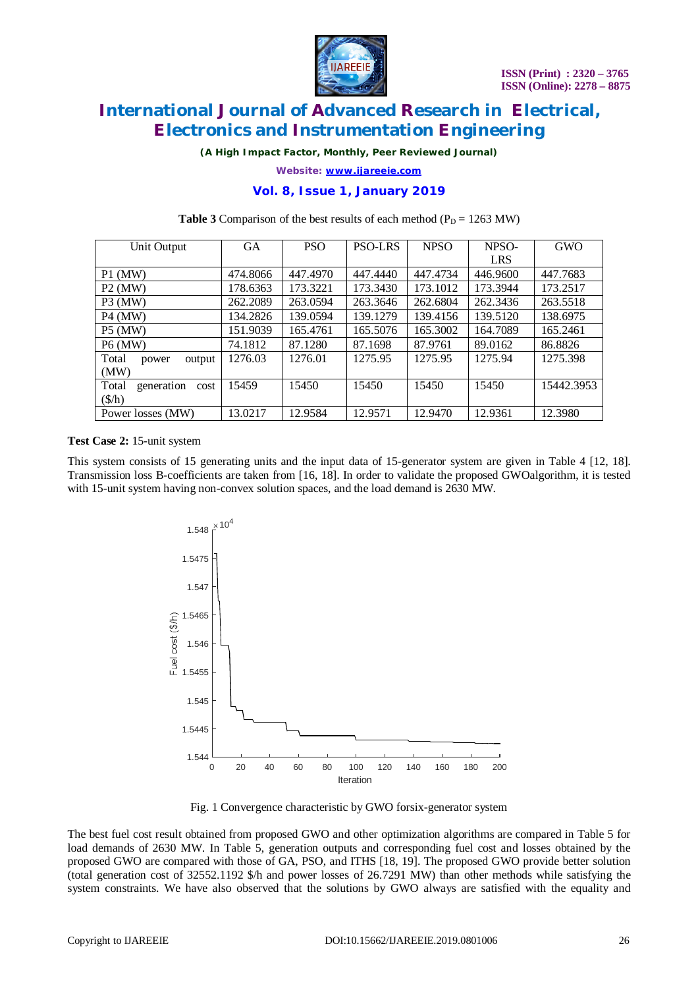

*(A High Impact Factor, Monthly, Peer Reviewed Journal)*

*Website: [www.ijareeie.com](http://www.ijareeie.com)*

## **Vol. 8, Issue 1, January 2019**

| Unit Output                 | <b>GA</b> | <b>PSO</b> | <b>PSO-LRS</b> | <b>NPSO</b> | NPSO-      | GWO        |
|-----------------------------|-----------|------------|----------------|-------------|------------|------------|
|                             |           |            |                |             | <b>LRS</b> |            |
| $P1$ (MW)                   | 474.8066  | 447.4970   | 447.4440       | 447.4734    | 446.9600   | 447.7683   |
| $P2$ (MW)                   | 178.6363  | 173.3221   | 173.3430       | 173.1012    | 173.3944   | 173.2517   |
| $P3$ (MW)                   | 262.2089  | 263.0594   | 263.3646       | 262.6804    | 262.3436   | 263.5518   |
| <b>P4 (MW)</b>              | 134.2826  | 139.0594   | 139.1279       | 139.4156    | 139.5120   | 138.6975   |
| <b>P5 (MW)</b>              | 151.9039  | 165.4761   | 165.5076       | 165.3002    | 164.7089   | 165,2461   |
| <b>P6</b> (MW)              | 74.1812   | 87.1280    | 87.1698        | 87.9761     | 89.0162    | 86.8826    |
| Total<br>output<br>power    | 1276.03   | 1276.01    | 1275.95        | 1275.95     | 1275.94    | 1275.398   |
| (MW)                        |           |            |                |             |            |            |
| generation<br>Total<br>cost | 15459     | 15450      | 15450          | 15450       | 15450      | 15442.3953 |
| $(\frac{f}{h})$             |           |            |                |             |            |            |
| Power losses (MW)           | 13.0217   | 12.9584    | 12.9571        | 12.9470     | 12.9361    | 12.3980    |

#### **Table 3** Comparison of the best results of each method ( $P_D = 1263$  MW)

### **Test Case 2:** 15-unit system

This system consists of 15 generating units and the input data of 15-generator system are given in Table 4 [12, 18]. Transmission loss B-coefficients are taken from [16, 18]. In order to validate the proposed GWOalgorithm, it is tested with 15-unit system having non-convex solution spaces, and the load demand is 2630 MW.



Fig. 1 Convergence characteristic by GWO forsix-generator system

The best fuel cost result obtained from proposed GWO and other optimization algorithms are compared in Table 5 for load demands of 2630 MW. In Table 5, generation outputs and corresponding fuel cost and losses obtained by the proposed GWO are compared with those of GA, PSO, and ITHS [18, 19]. The proposed GWO provide better solution (total generation cost of 32552.1192 \$/h and power losses of 26.7291 MW) than other methods while satisfying the system constraints. We have also observed that the solutions by GWO always are satisfied with the equality and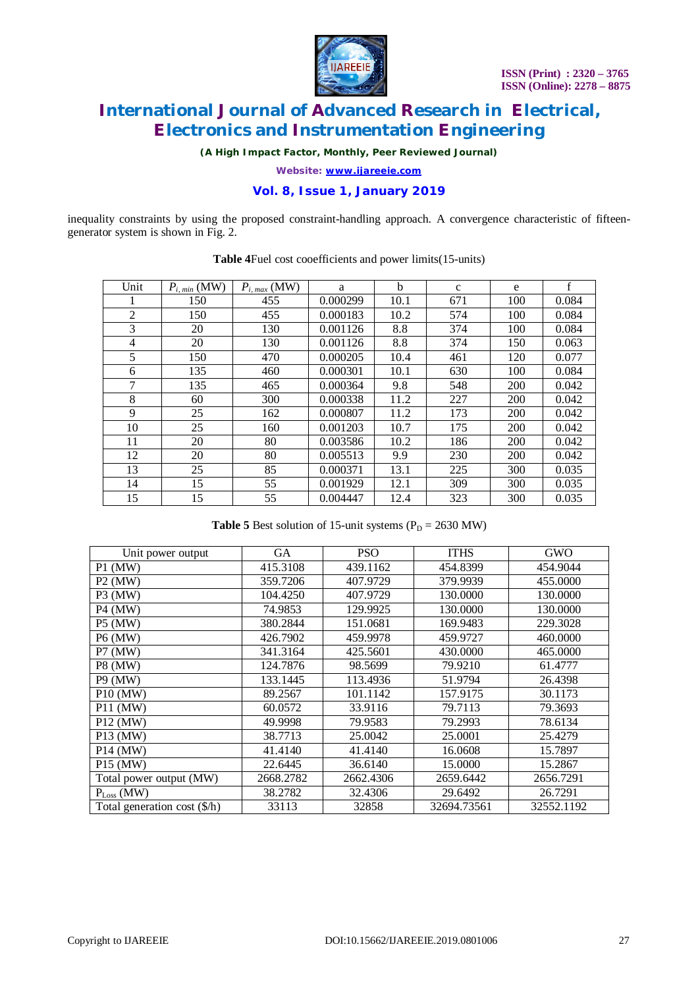

*(A High Impact Factor, Monthly, Peer Reviewed Journal)*

*Website: [www.ijareeie.com](http://www.ijareeie.com)*

## **Vol. 8, Issue 1, January 2019**

inequality constraints by using the proposed constraint-handling approach. A convergence characteristic of fifteengenerator system is shown in Fig. 2.

| Unit           | $P_{i, min}$ (MW) | $P_{i, max}$ (MW) | a        | b    | $\mathbf{c}$ | e   | $\mathbf{f}$ |
|----------------|-------------------|-------------------|----------|------|--------------|-----|--------------|
| 1              | 150               | 455               | 0.000299 | 10.1 | 671          | 100 | 0.084        |
| $\overline{2}$ | 150               | 455               | 0.000183 | 10.2 | 574          | 100 | 0.084        |
| 3              | 20                | 130               | 0.001126 | 8.8  | 374          | 100 | 0.084        |
| $\overline{4}$ | 20                | 130               | 0.001126 | 8.8  | 374          | 150 | 0.063        |
| 5              | 150               | 470               | 0.000205 | 10.4 | 461          | 120 | 0.077        |
| 6              | 135               | 460               | 0.000301 | 10.1 | 630          | 100 | 0.084        |
| 7              | 135               | 465               | 0.000364 | 9.8  | 548          | 200 | 0.042        |
| 8              | 60                | 300               | 0.000338 | 11.2 | 227          | 200 | 0.042        |
| 9              | 25                | 162               | 0.000807 | 11.2 | 173          | 200 | 0.042        |
| 10             | 25                | 160               | 0.001203 | 10.7 | 175          | 200 | 0.042        |
| 11             | 20                | 80                | 0.003586 | 10.2 | 186          | 200 | 0.042        |
| 12             | 20                | 80                | 0.005513 | 9.9  | 230          | 200 | 0.042        |
| 13             | 25                | 85                | 0.000371 | 13.1 | 225          | 300 | 0.035        |
| 14             | 15                | 55                | 0.001929 | 12.1 | 309          | 300 | 0.035        |
| 15             | 15                | 55                | 0.004447 | 12.4 | 323          | 300 | 0.035        |

**Table 4**Fuel cost cooefficients and power limits(15-units)

**Table 5** Best solution of 15-unit systems ( $P_D = 2630$  MW)

| Unit power output            | <b>GA</b> | <b>PSO</b> | <b>ITHS</b> | <b>GWO</b> |
|------------------------------|-----------|------------|-------------|------------|
| $P1$ (MW)                    | 415.3108  | 439.1162   | 454.8399    | 454.9044   |
| $P2$ (MW)                    | 359.7206  | 407.9729   | 379.9939    | 455.0000   |
| <b>P3 (MW)</b>               | 104.4250  | 407.9729   | 130.0000    | 130.0000   |
| <b>P4 (MW)</b>               | 74.9853   | 129.9925   | 130.0000    | 130.0000   |
| <b>P5</b> (MW)               | 380.2844  | 151.0681   | 169.9483    | 229.3028   |
| <b>P6 (MW)</b>               | 426.7902  | 459.9978   | 459.9727    | 460.0000   |
| P7 (MW)                      | 341.3164  | 425.5601   | 430.0000    | 465.0000   |
| <b>P8 (MW)</b>               | 124.7876  | 98.5699    | 79.9210     | 61.4777    |
| <b>P9 (MW)</b>               | 133.1445  | 113.4936   | 51.9794     | 26.4398    |
| <b>P10 (MW)</b>              | 89.2567   | 101.1142   | 157.9175    | 30.1173    |
| <b>P11 (MW)</b>              | 60.0572   | 33.9116    | 79.7113     | 79.3693    |
| <b>P12 (MW)</b>              | 49.9998   | 79.9583    | 79.2993     | 78.6134    |
| P <sub>13</sub> (MW)         | 38.7713   | 25.0042    | 25,0001     | 25.4279    |
| P <sub>14</sub> (MW)         | 41.4140   | 41.4140    | 16.0608     | 15.7897    |
| P15 (MW)                     | 22.6445   | 36.6140    | 15.0000     | 15.2867    |
| Total power output (MW)      | 2668.2782 | 2662.4306  | 2659.6442   | 2656.7291  |
| $P_{Loss}$ (MW)              | 38.2782   | 32.4306    | 29.6492     | 26.7291    |
| Total generation cost (\$/h) | 33113     | 32858      | 32694.73561 | 32552.1192 |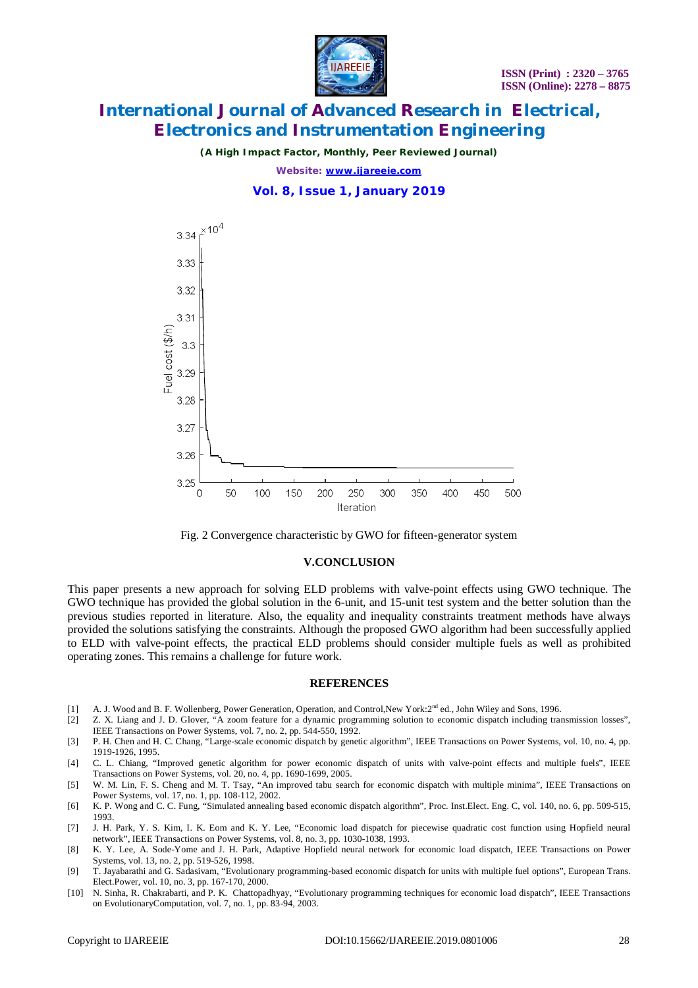

*(A High Impact Factor, Monthly, Peer Reviewed Journal)*

*Website: [www.ijareeie.com](http://www.ijareeie.com)*

**Vol. 8, Issue 1, January 2019**





#### **V.CONCLUSION**

This paper presents a new approach for solving ELD problems with valve-point effects using GWO technique. The GWO technique has provided the global solution in the 6-unit, and 15-unit test system and the better solution than the previous studies reported in literature. Also, the equality and inequality constraints treatment methods have always provided the solutions satisfying the constraints. Although the proposed GWO algorithm had been successfully applied to ELD with valve-point effects, the practical ELD problems should consider multiple fuels as well as prohibited operating zones. This remains a challenge for future work.

#### **REFERENCES**

- [1] A. J. Wood and B. F. Wollenberg, Power Generation, Operation, and Control, New York: 2<sup>nd</sup> ed., John Wiley and Sons, 1996.
- [2] Z. X. Liang and J. D. Glover, "A zoom feature for a dynamic programming solution to economic dispatch including transmission losses", IEEE Transactions on Power Systems, vol. 7, no. 2, pp. 544-550, 1992.
- [3] P. H. Chen and H. C. Chang, "Large-scale economic dispatch by genetic algorithm", IEEE Transactions on Power Systems, vol. 10, no. 4, pp. 1919-1926, 1995.
- [4] C. L. Chiang, "Improved genetic algorithm for power economic dispatch of units with valve-point effects and multiple fuels", IEEE Transactions on Power Systems, vol. 20, no. 4, pp. 1690-1699, 2005.
- [5] W. M. Lin, F. S. Cheng and M. T. Tsay, "An improved tabu search for economic dispatch with multiple minima", IEEE Transactions on Power Systems, vol. 17, no. 1, pp. 108-112, 2002.
- [6] K. P. Wong and C. C. Fung, "Simulated annealing based economic dispatch algorithm", Proc. Inst.Elect. Eng. C, vol. 140, no. 6, pp. 509-515, 1993.
- [7] J. H. Park, Y. S. Kim, I. K. Eom and K. Y. Lee, "Economic load dispatch for piecewise quadratic cost function using Hopfield neural network", IEEE Transactions on Power Systems, vol. 8, no. 3, pp. 1030-1038, 1993.
- [8] K. Y. Lee, A. Sode-Yome and J. H. Park, Adaptive Hopfield neural network for economic load dispatch, IEEE Transactions on Power Systems, vol. 13, no. 2, pp. 519-526, 1998.
- [9] T. Jayabarathi and G. Sadasivam, "Evolutionary programming-based economic dispatch for units with multiple fuel options", European Trans. Elect.Power, vol. 10, no. 3, pp. 167-170, 2000.
- [10] N. Sinha, R. Chakrabarti, and P. K. Chattopadhyay, "Evolutionary programming techniques for economic load dispatch", IEEE Transactions on EvolutionaryComputation, vol. 7, no. 1, pp. 83-94, 2003.